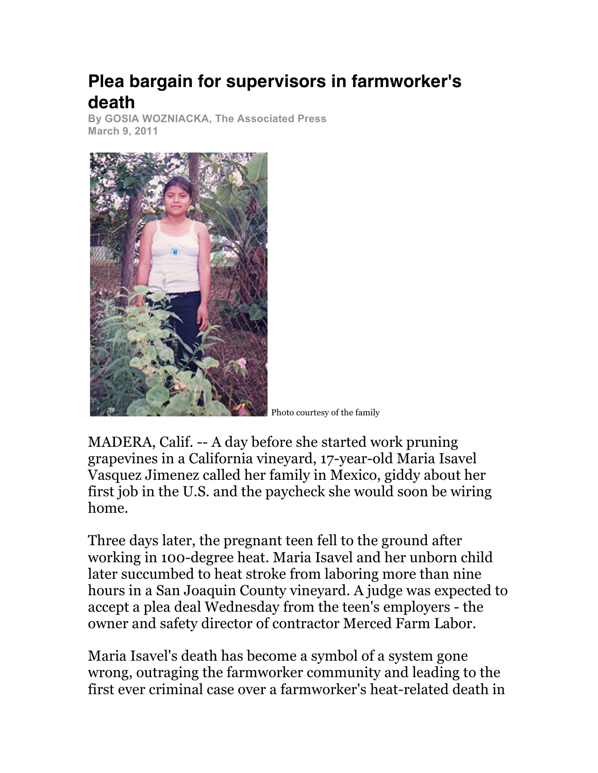## **Plea bargain for supervisors in farmworker's death**

**By GOSIA WOZNIACKA, The Associated Press March 9, 2011**



Photo courtesy of the family

MADERA, Calif. -- A day before she started work pruning grapevines in a California vineyard, 17-year-old Maria Isavel Vasquez Jimenez called her family in Mexico, giddy about her first job in the U.S. and the paycheck she would soon be wiring home.

Three days later, the pregnant teen fell to the ground after working in 100-degree heat. Maria Isavel and her unborn child later succumbed to heat stroke from laboring more than nine hours in a San Joaquin County vineyard. A judge was expected to accept a plea deal Wednesday from the teen's employers - the owner and safety director of contractor Merced Farm Labor.

Maria Isavel's death has become a symbol of a system gone wrong, outraging the farmworker community and leading to the first ever criminal case over a farmworker's heat-related death in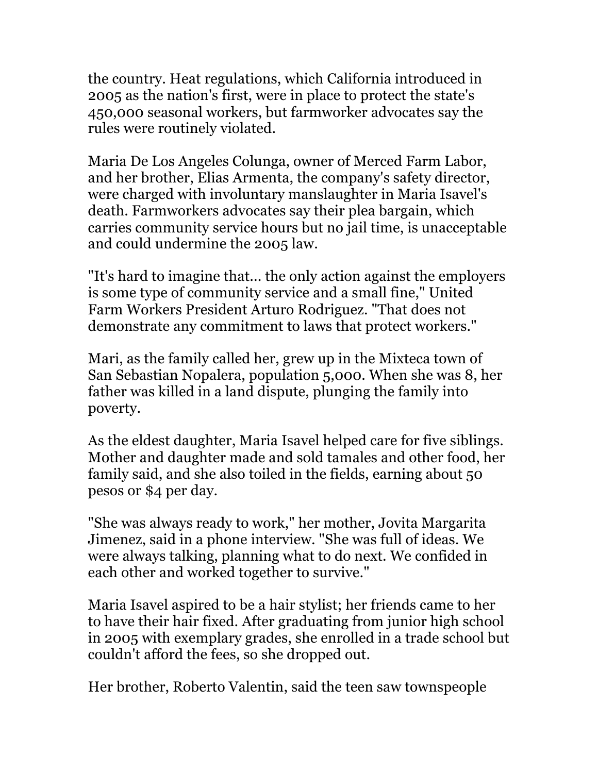the country. Heat regulations, which California introduced in 2005 as the nation's first, were in place to protect the state's 450,000 seasonal workers, but farmworker advocates say the rules were routinely violated.

Maria De Los Angeles Colunga, owner of Merced Farm Labor, and her brother, Elias Armenta, the company's safety director, were charged with involuntary manslaughter in Maria Isavel's death. Farmworkers advocates say their plea bargain, which carries community service hours but no jail time, is unacceptable and could undermine the 2005 law.

"It's hard to imagine that... the only action against the employers is some type of community service and a small fine," United Farm Workers President Arturo Rodriguez. "That does not demonstrate any commitment to laws that protect workers."

Mari, as the family called her, grew up in the Mixteca town of San Sebastian Nopalera, population 5,000. When she was 8, her father was killed in a land dispute, plunging the family into poverty.

As the eldest daughter, Maria Isavel helped care for five siblings. Mother and daughter made and sold tamales and other food, her family said, and she also toiled in the fields, earning about 50 pesos or \$4 per day.

"She was always ready to work," her mother, Jovita Margarita Jimenez, said in a phone interview. "She was full of ideas. We were always talking, planning what to do next. We confided in each other and worked together to survive."

Maria Isavel aspired to be a hair stylist; her friends came to her to have their hair fixed. After graduating from junior high school in 2005 with exemplary grades, she enrolled in a trade school but couldn't afford the fees, so she dropped out.

Her brother, Roberto Valentin, said the teen saw townspeople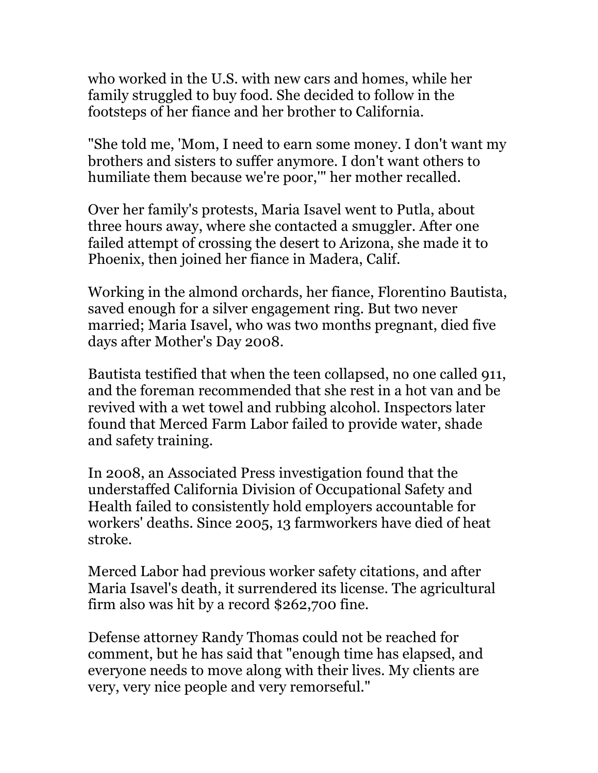who worked in the U.S. with new cars and homes, while her family struggled to buy food. She decided to follow in the footsteps of her fiance and her brother to California.

"She told me, 'Mom, I need to earn some money. I don't want my brothers and sisters to suffer anymore. I don't want others to humiliate them because we're poor,'" her mother recalled.

Over her family's protests, Maria Isavel went to Putla, about three hours away, where she contacted a smuggler. After one failed attempt of crossing the desert to Arizona, she made it to Phoenix, then joined her fiance in Madera, Calif.

Working in the almond orchards, her fiance, Florentino Bautista, saved enough for a silver engagement ring. But two never married; Maria Isavel, who was two months pregnant, died five days after Mother's Day 2008.

Bautista testified that when the teen collapsed, no one called 911, and the foreman recommended that she rest in a hot van and be revived with a wet towel and rubbing alcohol. Inspectors later found that Merced Farm Labor failed to provide water, shade and safety training.

In 2008, an Associated Press investigation found that the understaffed California Division of Occupational Safety and Health failed to consistently hold employers accountable for workers' deaths. Since 2005, 13 farmworkers have died of heat stroke.

Merced Labor had previous worker safety citations, and after Maria Isavel's death, it surrendered its license. The agricultural firm also was hit by a record \$262,700 fine.

Defense attorney Randy Thomas could not be reached for comment, but he has said that "enough time has elapsed, and everyone needs to move along with their lives. My clients are very, very nice people and very remorseful."